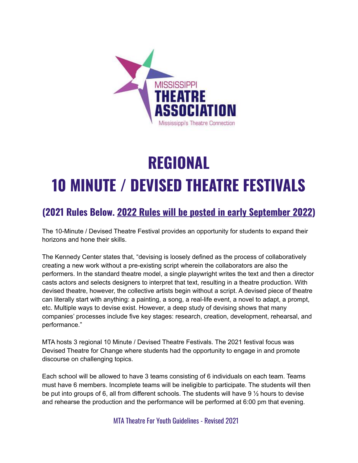

# **REGIONAL 10 MINUTE / DEVISED THEATRE FESTIVALS**

## **(2021 Rules Below. 2022 Rules will be posted in early September 2022)**

The 10-Minute / Devised Theatre Festival provides an opportunity for students to expand their horizons and hone their skills.

The Kennedy Center states that, "devising is loosely defined as the process of collaboratively creating a new work without a pre-existing script wherein the collaborators are also the performers. In the standard theatre model, a single playwright writes the text and then a director casts actors and selects designers to interpret that text, resulting in a theatre production. With devised theatre, however, the collective artists begin without a script. A devised piece of theatre can literally start with anything: a painting, a song, a real-life event, a novel to adapt, a prompt, etc. Multiple ways to devise exist. However, a deep study of devising shows that many companies' processes include five key stages: research, creation, development, rehearsal, and performance."

MTA hosts 3 regional 10 Minute / Devised Theatre Festivals. The 2021 festival focus was Devised Theatre for Change where students had the opportunity to engage in and promote discourse on challenging topics.

Each school will be allowed to have 3 teams consisting of 6 individuals on each team. Teams must have 6 members. Incomplete teams will be ineligible to participate. The students will then be put into groups of 6, all from different schools. The students will have  $9\frac{1}{2}$  hours to devise and rehearse the production and the performance will be performed at 6:00 pm that evening.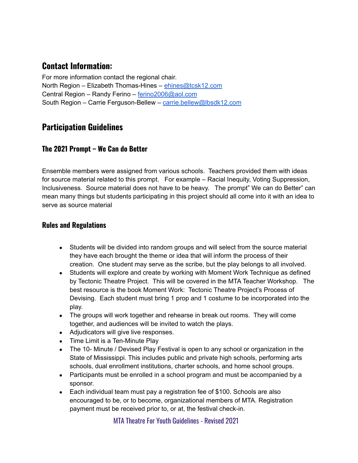## **Contact Information:**

For more information contact the regional chair. North Region – Elizabeth Thomas-Hines – [ehines@tcsk12.com](mailto:ehines@tcsk12.com) Central Region – Randy Ferino – [ferino2006@aol.com](mailto:ferino@aol.com) South Region – Carrie Ferguson-Bellew – [carrie.bellew@lbsdk12.com](mailto:carrie.bellew@lbsdk12.com)

## **Participation Guidelines**

### **The 2021 Prompt – We Can do Better**

Ensemble members were assigned from various schools. Teachers provided them with ideas for source material related to this prompt. For example – Racial Inequity, Voting Suppression, Inclusiveness. Source material does not have to be heavy. The prompt" We can do Better" can mean many things but students participating in this project should all come into it with an idea to serve as source material

#### **Rules and Regulations**

- Students will be divided into random groups and will select from the source material they have each brought the theme or idea that will inform the process of their creation. One student may serve as the scribe, but the play belongs to all involved.
- Students will explore and create by working with Moment Work Technique as defined by Tectonic Theatre Project. This will be covered in the MTA Teacher Workshop. The best resource is the book Moment Work: Tectonic Theatre Project's Process of Devising. Each student must bring 1 prop and 1 costume to be incorporated into the play.
- The groups will work together and rehearse in break out rooms. They will come together, and audiences will be invited to watch the plays.
- Adjudicators will give live responses.
- Time Limit is a Ten-Minute Play
- The 10- Minute / Devised Play Festival is open to any school or organization in the State of Mississippi. This includes public and private high schools, performing arts schools, dual enrollment institutions, charter schools, and home school groups.
- Participants must be enrolled in a school program and must be accompanied by a sponsor.
- Each individual team must pay a registration fee of \$100. Schools are also encouraged to be, or to become, organizational members of MTA. Registration payment must be received prior to, or at, the festival check-in.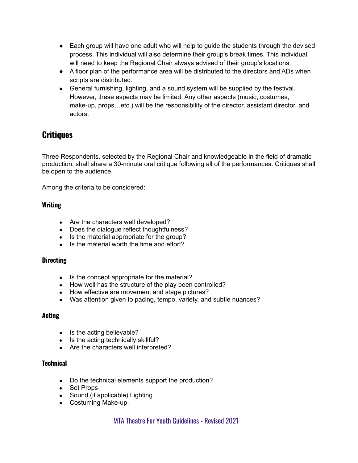- Each group will have one adult who will help to guide the students through the devised process. This individual will also determine their group's break times. This individual will need to keep the Regional Chair always advised of their group's locations.
- A floor plan of the performance area will be distributed to the directors and ADs when scripts are distributed.
- General furnishing, lighting, and a sound system will be supplied by the festival. However, these aspects may be limited. Any other aspects (music, costumes, make-up, props…etc.) will be the responsibility of the director, assistant director, and actors.

## **Critiques**

Three Respondents, selected by the Regional Chair and knowledgeable in the field of dramatic production, shall share a 30-minute oral critique following all of the performances. Critiques shall be open to the audience.

Among the criteria to be considered:

#### **Writing**

- Are the characters well developed?
- Does the dialogue reflect thoughtfulness?
- Is the material appropriate for the group?
- Is the material worth the time and effort?

#### **Directing**

- Is the concept appropriate for the material?
- How well has the structure of the play been controlled?
- How effective are movement and stage pictures?
- Was attention given to pacing, tempo, variety, and subtle nuances?

#### **Acting**

- Is the acting believable?
- Is the acting technically skillful?
- Are the characters well interpreted?

#### **Technical**

- Do the technical elements support the production?
- Set Props
- Sound (if applicable) Lighting
- Costuming Make-up.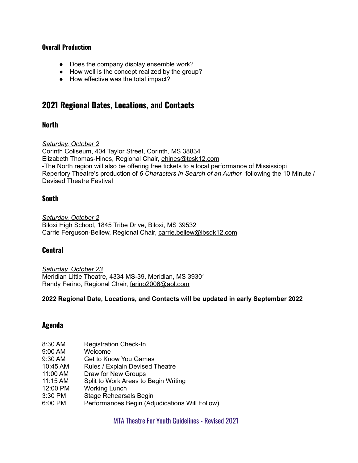#### **Overall Production**

- Does the company display ensemble work?
- How well is the concept realized by the group?
- How effective was the total impact?

## **2021 Regional Dates, Locations, and Contacts**

#### **North**

*Saturday, October 2*

Corinth Coliseum, 404 Taylor Street, Corinth, MS 38834 Elizabeth Thomas-Hines, Regional Chair, [ehines@tcsk12.com](mailto:ehines@tcsk12.com) -The North region will also be offering free tickets to a local performance of Mississippi Repertory Theatre's production of *6 Characters in Search of an Author* following the 10 Minute / Devised Theatre Festival

#### **South**

*Saturday, October 2* Biloxi High School, 1845 Tribe Drive, Biloxi, MS 39532 Carrie Ferguson-Bellew, Regional Chair, [carrie.bellew@lbsdk12.com](mailto:carrie.bellew@lbsdk12.com)

#### **Central**

*Saturday, October 23* Meridian Little Theatre, 4334 MS-39, Meridian, MS 39301 Randy Ferino, Regional Chair, [ferino2006@aol.com](mailto:ferino@aol.com)

#### **2022 Regional Date, Locations, and Contacts will be updated in early September 2022**

#### **Agenda**

- 8:30 AM Registration Check-In
- 9:00 AM Welcome
- 9:30 AM Get to Know You Games
- 10:45 AM Rules / Explain Devised Theatre
- 11:00 AM Draw for New Groups
- 11:15 AM Split to Work Areas to Begin Writing
- 12:00 PM Working Lunch
- 3:30 PM Stage Rehearsals Begin
- 6:00 PM Performances Begin (Adjudications Will Follow)